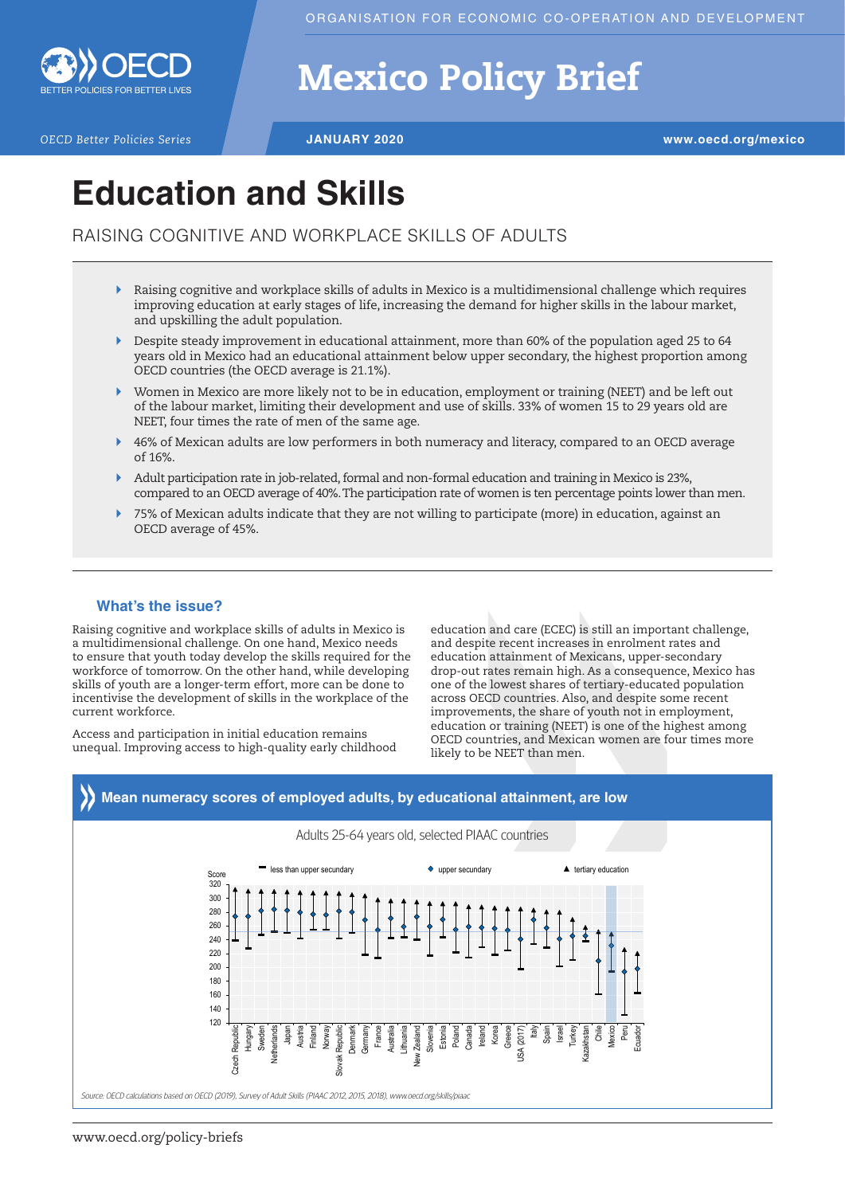

# Mexico Policy Brief

*OECD Better Policies Series* **JANUARY 2020 www.oecd.org/mexico**

## **Education and Skills**

RAISING COGNITIVE AND WORKPLACE SKILLS OF ADULTS

- $\triangleright$  Raising cognitive and workplace skills of adults in Mexico is a multidimensional challenge which requires improving education at early stages of life, increasing the demand for higher skills in the labour market, and upskilling the adult population.
- $\triangleright$  Despite steady improvement in educational attainment, more than 60% of the population aged 25 to 64 years old in Mexico had an educational attainment below upper secondary, the highest proportion among OECD countries (the OECD average is 21.1%).
- ` Women in Mexico are more likely not to be in education, employment or training (NEET) and be left out of the labour market, limiting their development and use of skills. 33% of women 15 to 29 years old are NEET, four times the rate of men of the same age.
- ` 46% of Mexican adults are low performers in both numeracy and literacy, compared to an OECD average of 16%.
- ` Adult participation rate in job-related, formal and non-formal education and training in Mexico is 23%, compared to an OECD average of 40%. The participation rate of women is ten percentage points lower than men.
- ` 75% of Mexican adults indicate that they are not willing to participate (more) in education, against an OECD average of 45%.

### **What's the issue?**

Raising cognitive and workplace skills of adults in Mexico is a multidimensional challenge. On one hand, Mexico needs to ensure that youth today develop the skills required for the workforce of tomorrow. On the other hand, while developing skills of youth are a longer-term effort, more can be done to incentivise the development of skills in the workplace of the current workforce.

Access and participation in initial education remains unequal. Improving access to high-quality early childhood

education and care (ECEC) is still an important challenge, and despite recent increases in enrolment rates and education attainment of Mexicans, upper-secondary drop-out rates remain high. As a consequence, Mexico has one of the lowest shares of tertiary-educated population across OECD countries. Also, and despite some recent improvements, the share of youth not in employment, education or training (NEET) is one of the highest among OECD countries, and Mexican women are four times more likely to be NEET than men.